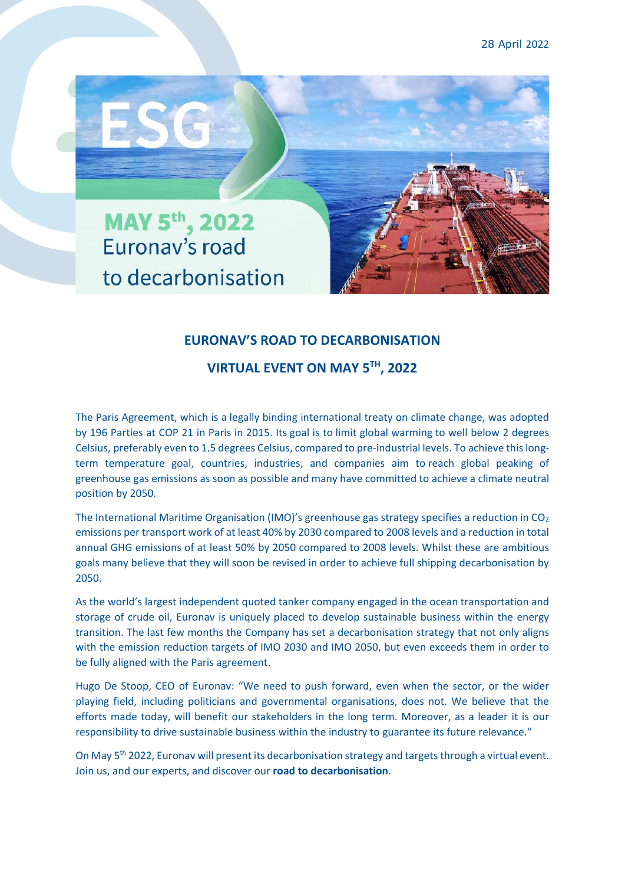

## **EURONAV'S ROAD TO DECARBONISATION**

## **VIRTUAL EVENT ON MAY 5TH, 2022**

The Paris Agreement, which is a legally binding international treaty on climate change, was adopted by 196 Parties at COP 21 in Paris in 2015. Its goal is to limit global warming to well below 2 degrees Celsius, preferably even to 1.5 degrees Celsius, compared to pre-industrial levels. To achieve this longterm temperature goal, countries, industries, and companies aim to reach global peaking of greenhouse gas emissions as soon as possible and many have committed to achieve a climate neutral position by 2050.

The International Maritime Organisation (IMO)'s greenhouse gas strategy specifies a reduction in  $CO<sub>2</sub>$ emissions per transport work of at least 40% by 2030 compared to 2008 levels and a reduction in total annual GHG emissions of at least 50% by 2050 compared to 2008 levels. Whilst these are ambitious goals many believe that they will soon be revised in order to achieve full shipping decarbonisation by 2050.

As the world's largest independent quoted tanker company engaged in the ocean transportation and storage of crude oil, Euronav is uniquely placed to develop sustainable business within the energy transition. The last few months the Company has set a decarbonisation strategy that not only aligns with the emission reduction targets of IMO 2030 and IMO 2050, but even exceeds them in order to be fully aligned with the Paris agreement.

Hugo De Stoop, CEO of Euronav: "We need to push forward, even when the sector, or the wider playing field, including politicians and governmental organisations, does not. We believe that the efforts made today, will benefit our stakeholders in the long term. Moreover, as a leader it is our responsibility to drive sustainable business within the industry to guarantee its future relevance."

On May 5<sup>th</sup> 2022, Euronav will present its decarbonisation strategy and targets through a virtual event. Join us, and our experts, and discover our **road to decarbonisation**.